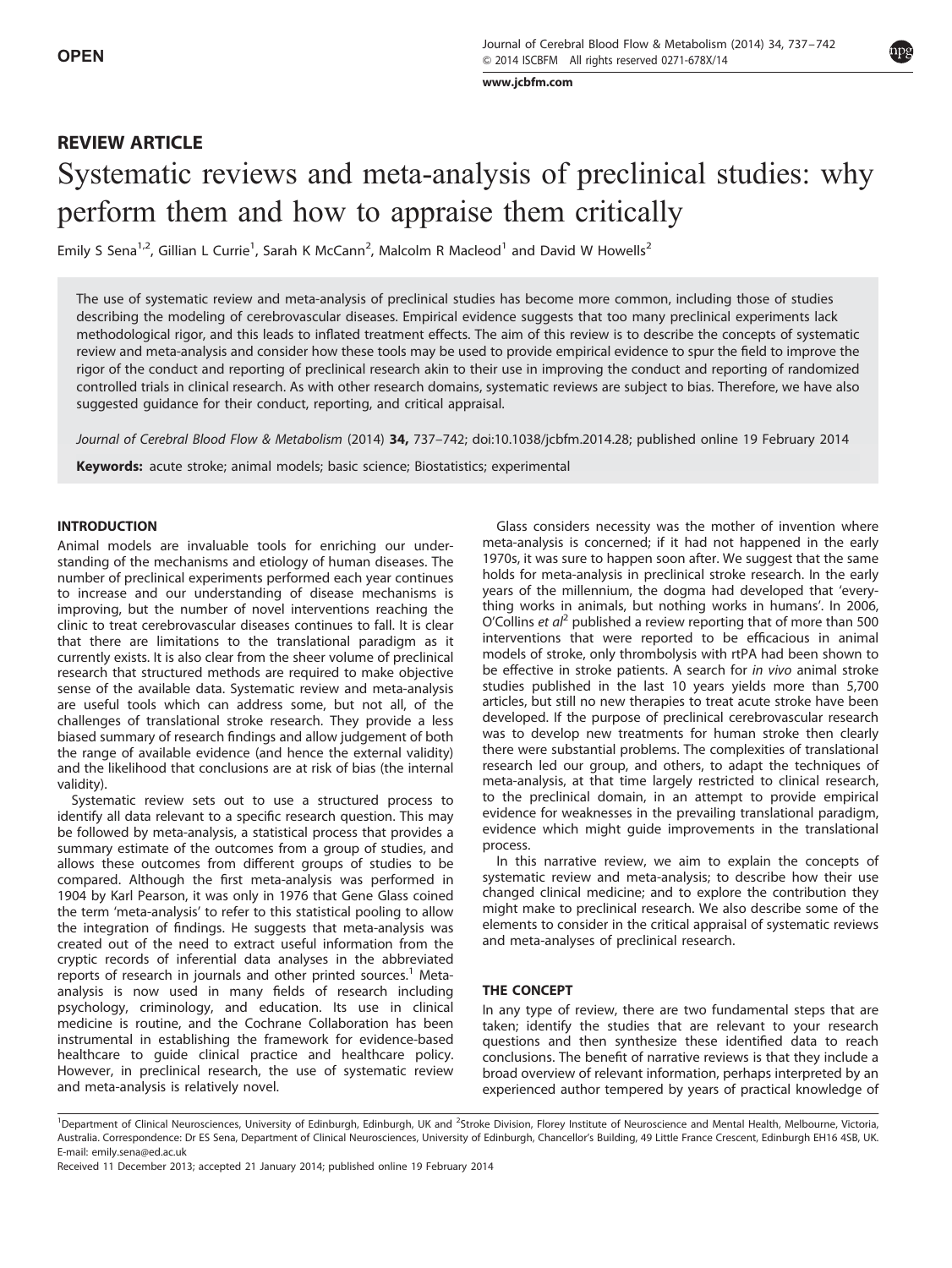[www.jcbfm.com](http://www.jcbfm.com)

# REVIEW ARTICLE Systematic reviews and meta-analysis of preclinical studies: why perform them and how to appraise them critically

Emily S Sena<sup>1,2</sup>, Gillian L Currie<sup>1</sup>, Sarah K McCann<sup>2</sup>, Malcolm R Macleod<sup>1</sup> and David W Howells<sup>2</sup>

The use of systematic review and meta-analysis of preclinical studies has become more common, including those of studies describing the modeling of cerebrovascular diseases. Empirical evidence suggests that too many preclinical experiments lack methodological rigor, and this leads to inflated treatment effects. The aim of this review is to describe the concepts of systematic review and meta-analysis and consider how these tools may be used to provide empirical evidence to spur the field to improve the rigor of the conduct and reporting of preclinical research akin to their use in improving the conduct and reporting of randomized controlled trials in clinical research. As with other research domains, systematic reviews are subject to bias. Therefore, we have also suggested guidance for their conduct, reporting, and critical appraisal.

Journal of Cerebral Blood Flow & Metabolism (2014) 34, 737-742; doi[:10.1038/jcbfm.2014.28;](http://dx.doi.org/10.1038/jcbfm.2014.28) published online 19 February 2014

Keywords: acute stroke; animal models; basic science; Biostatistics; experimental

## INTRODUCTION

Animal models are invaluable tools for enriching our understanding of the mechanisms and etiology of human diseases. The number of preclinical experiments performed each year continues to increase and our understanding of disease mechanisms is improving, but the number of novel interventions reaching the clinic to treat cerebrovascular diseases continues to fall. It is clear that there are limitations to the translational paradigm as it currently exists. It is also clear from the sheer volume of preclinical research that structured methods are required to make objective sense of the available data. Systematic review and meta-analysis are useful tools which can address some, but not all, of the challenges of translational stroke research. They provide a less biased summary of research findings and allow judgement of both the range of available evidence (and hence the external validity) and the likelihood that conclusions are at risk of bias (the internal validity).

Systematic review sets out to use a structured process to identify all data relevant to a specific research question. This may be followed by meta-analysis, a statistical process that provides a summary estimate of the outcomes from a group of studies, and allows these outcomes from different groups of studies to be compared. Although the first meta-analysis was performed in 1904 by Karl Pearson, it was only in 1976 that Gene Glass coined the term 'meta-analysis' to refer to this statistical pooling to allow the integration of findings. He suggests that meta-analysis was created out of the need to extract useful information from the cryptic records of inferential data analyses in the abbreviated reports of research in journals and other printed sources.<sup>[1](#page-5-0)</sup> Metaanalysis is now used in many fields of research including psychology, criminology, and education. Its use in clinical medicine is routine, and the Cochrane Collaboration has been instrumental in establishing the framework for evidence-based healthcare to guide clinical practice and healthcare policy. However, in preclinical research, the use of systematic review and meta-analysis is relatively novel.

Glass considers necessity was the mother of invention where meta-analysis is concerned; if it had not happened in the early 1970s, it was sure to happen soon after. We suggest that the same holds for meta-analysis in preclinical stroke research. In the early years of the millennium, the dogma had developed that 'everything works in animals, but nothing works in humans'. In 2006, O'Collins et  $a^2$  $a^2$  published a review reporting that of more than 500 interventions that were reported to be efficacious in animal models of stroke, only thrombolysis with rtPA had been shown to be effective in stroke patients. A search for in vivo animal stroke studies published in the last 10 years yields more than 5,700 articles, but still no new therapies to treat acute stroke have been developed. If the purpose of preclinical cerebrovascular research was to develop new treatments for human stroke then clearly there were substantial problems. The complexities of translational research led our group, and others, to adapt the techniques of meta-analysis, at that time largely restricted to clinical research, to the preclinical domain, in an attempt to provide empirical evidence for weaknesses in the prevailing translational paradigm, evidence which might guide improvements in the translational process.

In this narrative review, we aim to explain the concepts of systematic review and meta-analysis; to describe how their use changed clinical medicine; and to explore the contribution they might make to preclinical research. We also describe some of the elements to consider in the critical appraisal of systematic reviews and meta-analyses of preclinical research.

## THE CONCEPT

In any type of review, there are two fundamental steps that are taken; identify the studies that are relevant to your research questions and then synthesize these identified data to reach conclusions. The benefit of narrative reviews is that they include a broad overview of relevant information, perhaps interpreted by an experienced author tempered by years of practical knowledge of



<sup>&</sup>lt;sup>1</sup>Department of Clinical Neurosciences, University of Edinburgh, Edinburgh, UK and <sup>2</sup>Stroke Division, Florey Institute of Neuroscience and Mental Health, Melbourne, Victoria, Australia. Correspondence: Dr ES Sena, Department of Clinical Neurosciences, University of Edinburgh, Chancellor's Building, 49 Little France Crescent, Edinburgh EH16 4SB, UK. E-mail: [emily.sena@ed.ac.uk](mailto:emily.sena@ed.ac.uk)

Received 11 December 2013; accepted 21 January 2014; published online 19 February 2014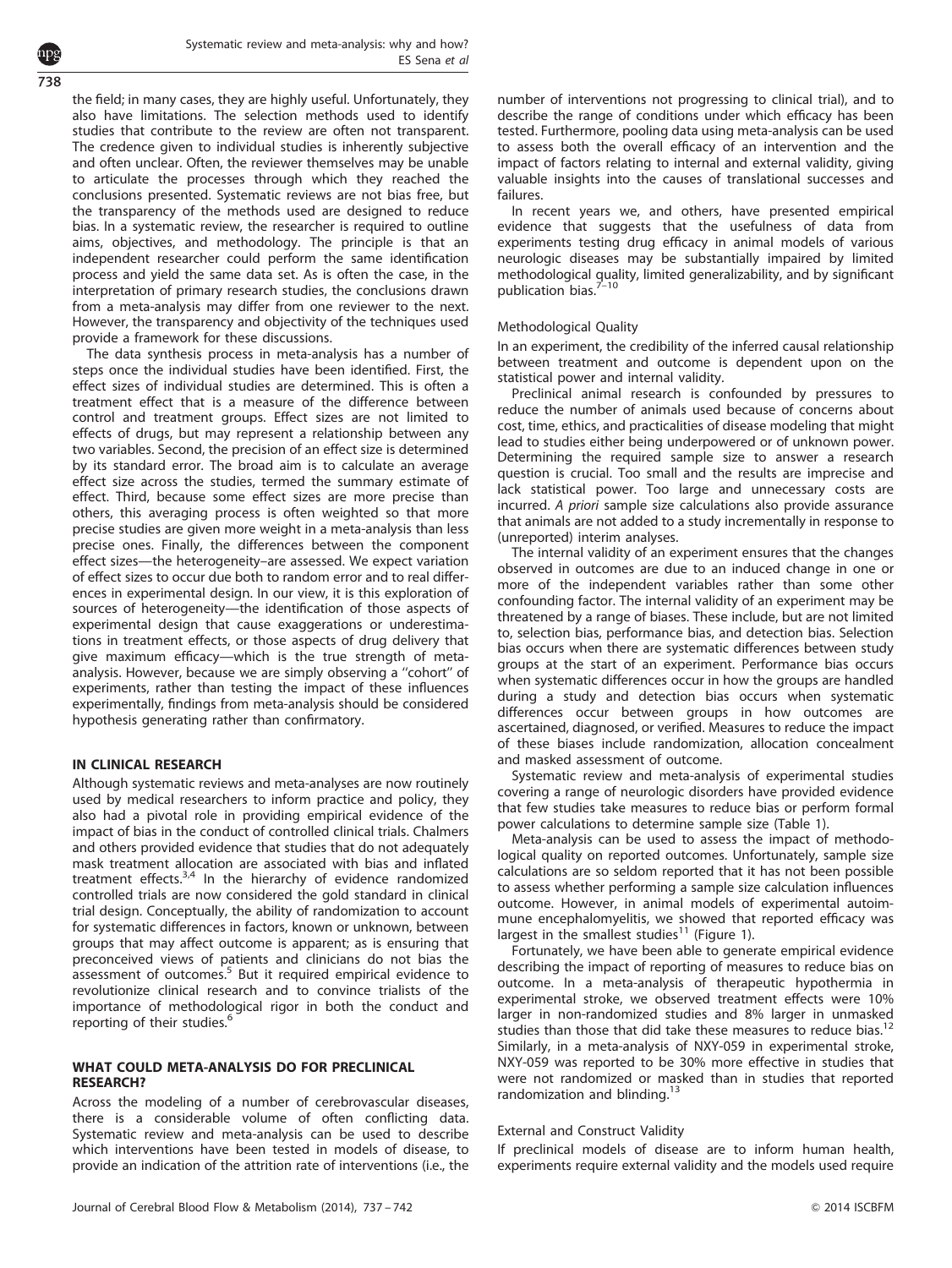the field; in many cases, they are highly useful. Unfortunately, they also have limitations. The selection methods used to identify studies that contribute to the review are often not transparent. The credence given to individual studies is inherently subjective and often unclear. Often, the reviewer themselves may be unable to articulate the processes through which they reached the conclusions presented. Systematic reviews are not bias free, but the transparency of the methods used are designed to reduce bias. In a systematic review, the researcher is required to outline aims, objectives, and methodology. The principle is that an independent researcher could perform the same identification process and yield the same data set. As is often the case, in the interpretation of primary research studies, the conclusions drawn from a meta-analysis may differ from one reviewer to the next. However, the transparency and objectivity of the techniques used provide a framework for these discussions.

The data synthesis process in meta-analysis has a number of steps once the individual studies have been identified. First, the effect sizes of individual studies are determined. This is often a treatment effect that is a measure of the difference between control and treatment groups. Effect sizes are not limited to effects of drugs, but may represent a relationship between any two variables. Second, the precision of an effect size is determined by its standard error. The broad aim is to calculate an average effect size across the studies, termed the summary estimate of effect. Third, because some effect sizes are more precise than others, this averaging process is often weighted so that more precise studies are given more weight in a meta-analysis than less precise ones. Finally, the differences between the component effect sizes—the heterogeneity–are assessed. We expect variation of effect sizes to occur due both to random error and to real differences in experimental design. In our view, it is this exploration of sources of heterogeneity—the identification of those aspects of experimental design that cause exaggerations or underestimations in treatment effects, or those aspects of drug delivery that give maximum efficacy—which is the true strength of metaanalysis. However, because we are simply observing a ''cohort'' of experiments, rather than testing the impact of these influences experimentally, findings from meta-analysis should be considered hypothesis generating rather than confirmatory.

# IN CLINICAL RESEARCH

Although systematic reviews and meta-analyses are now routinely used by medical researchers to inform practice and policy, they also had a pivotal role in providing empirical evidence of the impact of bias in the conduct of controlled clinical trials. Chalmers and others provided evidence that studies that do not adequately mask treatment allocation are associated with bias and inflated treatment effects. $3,4$  In the hierarchy of evidence randomized controlled trials are now considered the gold standard in clinical trial design. Conceptually, the ability of randomization to account for systematic differences in factors, known or unknown, between groups that may affect outcome is apparent; as is ensuring that preconceived views of patients and clinicians do not bias the assessment of outcomes.<sup>[5](#page-5-0)</sup> But it required empirical evidence to revolutionize clinical research and to convince trialists of the importance of methodological rigor in both the conduct and reporting of their studies. $6$ 

# WHAT COULD META-ANALYSIS DO FOR PRECLINICAL RESEARCH?

Across the modeling of a number of cerebrovascular diseases, there is a considerable volume of often conflicting data. Systematic review and meta-analysis can be used to describe which interventions have been tested in models of disease, to provide an indication of the attrition rate of interventions (i.e., the number of interventions not progressing to clinical trial), and to describe the range of conditions under which efficacy has been tested. Furthermore, pooling data using meta-analysis can be used to assess both the overall efficacy of an intervention and the impact of factors relating to internal and external validity, giving valuable insights into the causes of translational successes and failures.

In recent years we, and others, have presented empirical evidence that suggests that the usefulness of data from experiments testing drug efficacy in animal models of various neurologic diseases may be substantially impaired by limited methodological quality, limited generalizability, and by significant publication bias.

# Methodological Quality

In an experiment, the credibility of the inferred causal relationship between treatment and outcome is dependent upon on the statistical power and internal validity.

Preclinical animal research is confounded by pressures to reduce the number of animals used because of concerns about cost, time, ethics, and practicalities of disease modeling that might lead to studies either being underpowered or of unknown power. Determining the required sample size to answer a research question is crucial. Too small and the results are imprecise and lack statistical power. Too large and unnecessary costs are incurred. A priori sample size calculations also provide assurance that animals are not added to a study incrementally in response to (unreported) interim analyses.

The internal validity of an experiment ensures that the changes observed in outcomes are due to an induced change in one or more of the independent variables rather than some other confounding factor. The internal validity of an experiment may be threatened by a range of biases. These include, but are not limited to, selection bias, performance bias, and detection bias. Selection bias occurs when there are systematic differences between study groups at the start of an experiment. Performance bias occurs when systematic differences occur in how the groups are handled during a study and detection bias occurs when systematic differences occur between groups in how outcomes are ascertained, diagnosed, or verified. Measures to reduce the impact of these biases include randomization, allocation concealment and masked assessment of outcome.

Systematic review and meta-analysis of experimental studies covering a range of neurologic disorders have provided evidence that few studies take measures to reduce bias or perform formal power calculations to determine sample size ([Table 1\)](#page-2-0).

Meta-analysis can be used to assess the impact of methodological quality on reported outcomes. Unfortunately, sample size calculations are so seldom reported that it has not been possible to assess whether performing a sample size calculation influences outcome. However, in animal models of experimental autoimmune encephalomyelitis, we showed that reported efficacy was largest in the smallest studies<sup>[11](#page-5-0)</sup> ([Figure 1\)](#page-2-0).

Fortunately, we have been able to generate empirical evidence describing the impact of reporting of measures to reduce bias on outcome. In a meta-analysis of therapeutic hypothermia in experimental stroke, we observed treatment effects were 10% larger in non-randomized studies and 8% larger in unmasked studies than those that did take these measures to reduce bias.<sup>[12](#page-5-0)</sup> Similarly, in a meta-analysis of NXY-059 in experimental stroke, NXY-059 was reported to be 30% more effective in studies that were not randomized or masked than in studies that reported randomization and blinding.<sup>[13](#page-5-0)</sup>

# External and Construct Validity

If preclinical models of disease are to inform human health, experiments require external validity and the models used require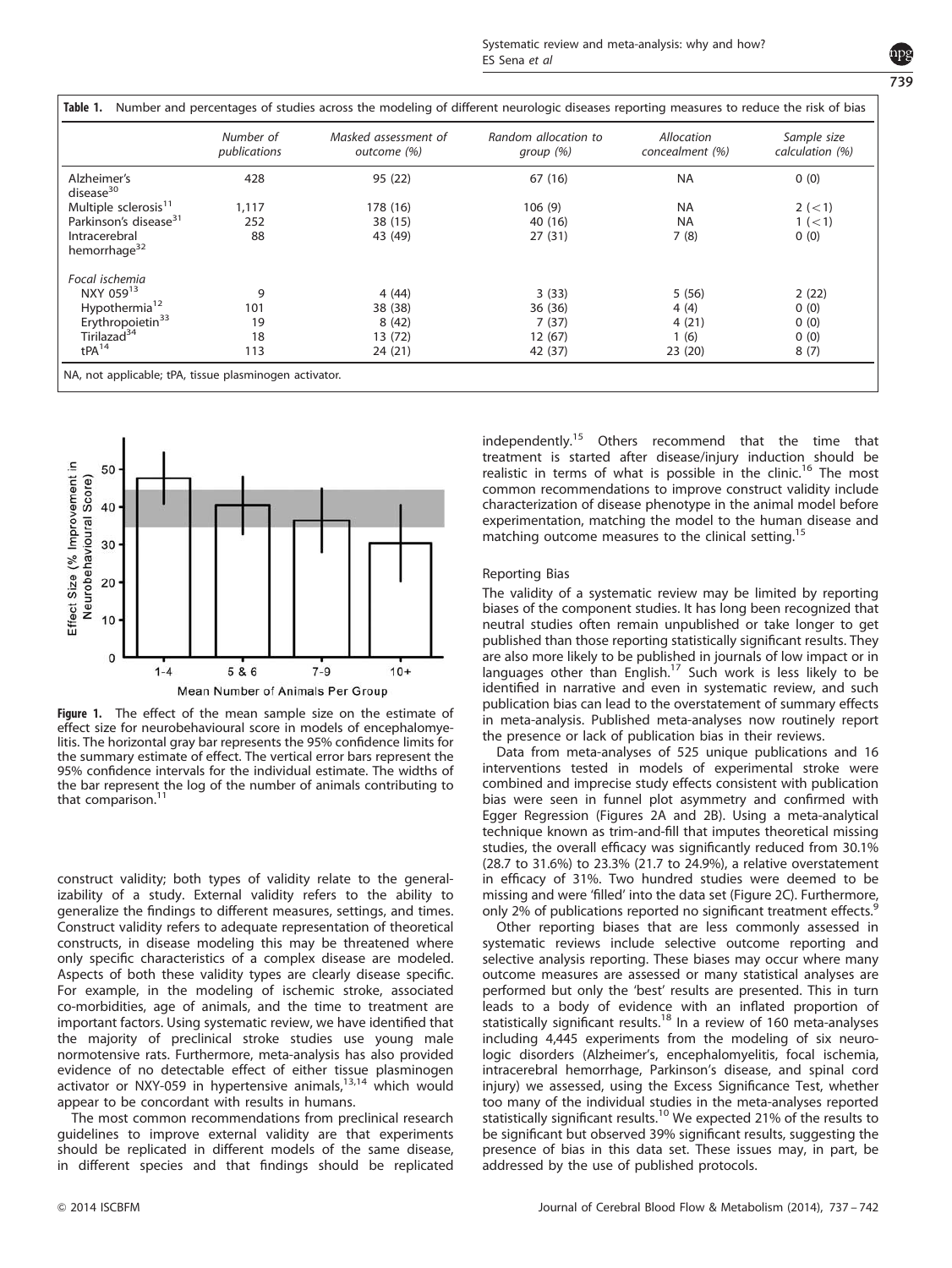| v. |    | I<br>۰.<br>۰. |  |
|----|----|---------------|--|
|    | ۰. | I             |  |

<span id="page-2-0"></span>

|                                           | Number of<br>publications | Masked assessment of<br>outcome (%) | Random allocation to<br>group (%) | Allocation<br>concealment (%) | Sample size<br>calculation (%) |
|-------------------------------------------|---------------------------|-------------------------------------|-----------------------------------|-------------------------------|--------------------------------|
| Alzheimer's<br>disease $30$               | 428                       | 95 (22)                             | 67(16)                            | <b>NA</b>                     | 0(0)                           |
| Multiple sclerosis <sup>11</sup>          | 1,117                     | 178 (16)                            | 106(9)                            | <b>NA</b>                     | 2 (< 1)                        |
| Parkinson's disease <sup>31</sup>         | 252                       | 38 (15)                             | 40 (16)                           | <b>NA</b>                     | 1 (< 1)                        |
| Intracerebral<br>hemorrhage <sup>32</sup> | 88                        | 43 (49)                             | 27(31)                            | 7(8)                          | 0(0)                           |
| Focal ischemia                            |                           |                                     |                                   |                               |                                |
| NXY 05913                                 | 9                         | 4(44)                               | 3(33)                             | 5(56)                         | 2(22)                          |
| Hypothermia <sup>12</sup>                 | 101                       | 38 (38)                             | 36 (36)                           | 4(4)                          | 0(0)                           |
| Erythropoietin <sup>33</sup>              | 19                        | 8(42)                               | 7(37)                             | 4(21)                         | 0(0)                           |
| Tirilazad <sup>34</sup>                   | 18                        | 13 (72)                             | 12(67)                            | 1(6)                          | 0(0)                           |
| tPA <sup>14</sup>                         | 113                       | 24(21)                              | 42 (37)                           | 23(20)                        | 8(7)                           |



Figure 1. The effect of the mean sample size on the estimate of effect size for neurobehavioural score in models of encephalomyelitis. The horizontal gray bar represents the 95% confidence limits for the summary estimate of effect. The vertical error bars represent the 95% confidence intervals for the individual estimate. The widths of the bar represent the log of the number of animals contributing to that comparison.

construct validity; both types of validity relate to the generalizability of a study. External validity refers to the ability to generalize the findings to different measures, settings, and times. Construct validity refers to adequate representation of theoretical constructs, in disease modeling this may be threatened where only specific characteristics of a complex disease are modeled. Aspects of both these validity types are clearly disease specific. For example, in the modeling of ischemic stroke, associated co-morbidities, age of animals, and the time to treatment are important factors. Using systematic review, we have identified that the majority of preclinical stroke studies use young male normotensive rats. Furthermore, meta-analysis has also provided evidence of no detectable effect of either tissue plasminogen activator or NXY-059 in hypertensive animals, $13,14$  which would appear to be concordant with results in humans.

The most common recommendations from preclinical research guidelines to improve external validity are that experiments should be replicated in different models of the same disease, in different species and that findings should be replicated independently[.15](#page-5-0) Others recommend that the time that treatment is started after disease/injury induction should be realistic in terms of what is possible in the clinic.<sup>[16](#page-5-0)</sup> The most common recommendations to improve construct validity include characterization of disease phenotype in the animal model before experimentation, matching the model to the human disease and matching outcome measures to the clinical setting.<sup>[15](#page-5-0)</sup>

# Reporting Bias

The validity of a systematic review may be limited by reporting biases of the component studies. It has long been recognized that neutral studies often remain unpublished or take longer to get published than those reporting statistically significant results. They are also more likely to be published in journals of low impact or in languages other than English.<sup>17</sup> Such work is less likely to be identified in narrative and even in systematic review, and such publication bias can lead to the overstatement of summary effects in meta-analysis. Published meta-analyses now routinely report the presence or lack of publication bias in their reviews.

Data from meta-analyses of 525 unique publications and 16 interventions tested in models of experimental stroke were combined and imprecise study effects consistent with publication bias were seen in funnel plot asymmetry and confirmed with Egger Regression ([Figures 2A and 2B\)](#page-3-0). Using a meta-analytical technique known as trim-and-fill that imputes theoretical missing studies, the overall efficacy was significantly reduced from 30.1% (28.7 to 31.6%) to 23.3% (21.7 to 24.9%), a relative overstatement in efficacy of 31%. Two hundred studies were deemed to be missing and were 'filled' into the data set [\(Figure 2C\)](#page-3-0). Furthermore, only 2% of publications reported no significant treatment effects.

Other reporting biases that are less commonly assessed in systematic reviews include selective outcome reporting and selective analysis reporting. These biases may occur where many outcome measures are assessed or many statistical analyses are performed but only the 'best' results are presented. This in turn leads to a body of evidence with an inflated proportion of<br>statistically significant results.<sup>[18](#page-5-0)</sup> In a review of 160 meta-analyses including 4,445 experiments from the modeling of six neurologic disorders (Alzheimer's, encephalomyelitis, focal ischemia, intracerebral hemorrhage, Parkinson's disease, and spinal cord injury) we assessed, using the Excess Significance Test, whether too many of the individual studies in the meta-analyses reported statistically significant results.<sup>[10](#page-5-0)</sup> We expected 21% of the results to be significant but observed 39% significant results, suggesting the presence of bias in this data set. These issues may, in part, be addressed by the use of published protocols.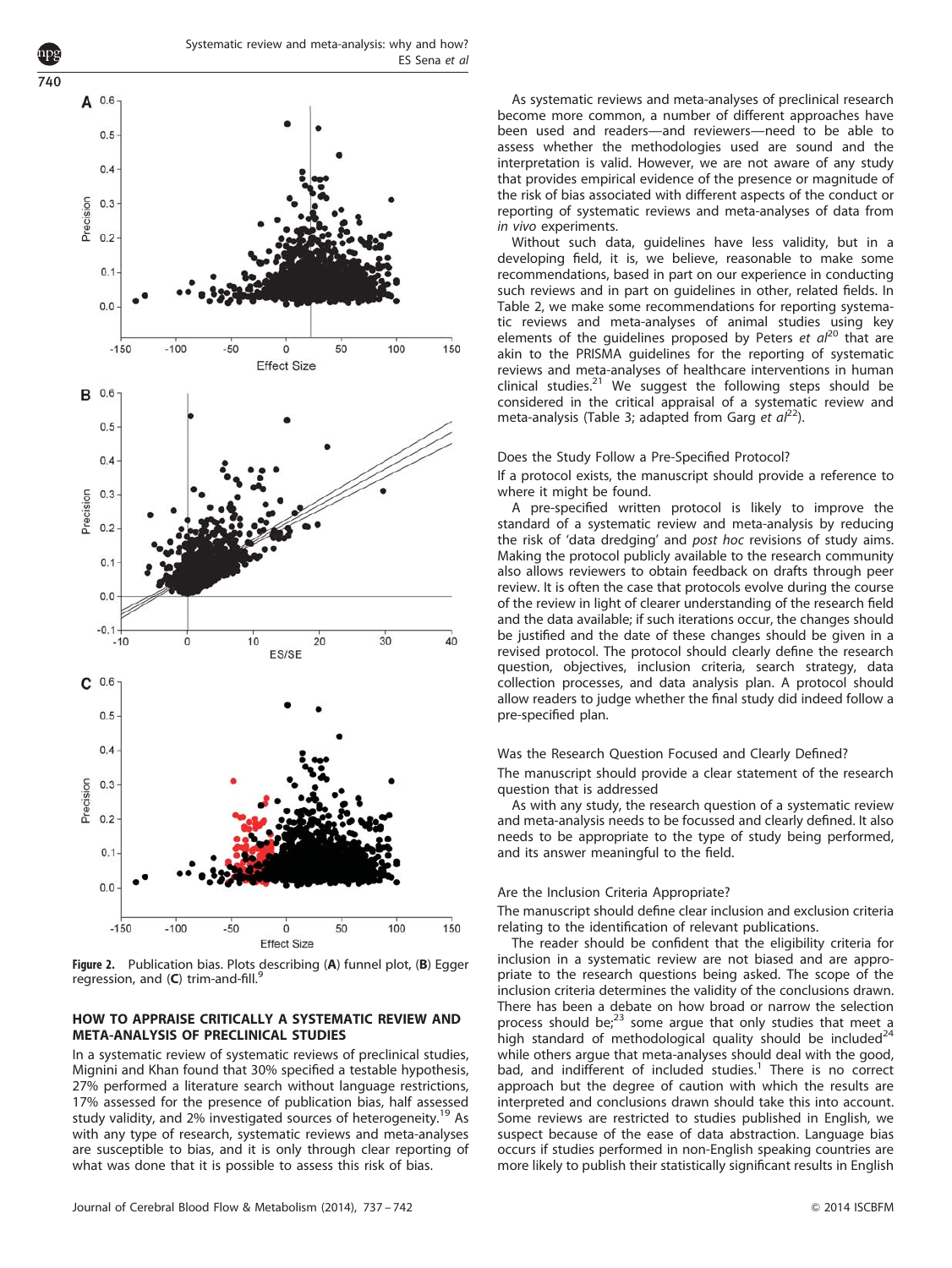<span id="page-3-0"></span>740



Figure 2. Publication bias. Plots describing (A) funnel plot, (B) Egger regression, and  $(C)$  trim-and-fill.<sup>[9](#page-5-0)</sup>

# HOW TO APPRAISE CRITICALLY A SYSTEMATIC REVIEW AND META-ANALYSIS OF PRECLINICAL STUDIES

In a systematic review of systematic reviews of preclinical studies, Mignini and Khan found that 30% specified a testable hypothesis, 27% performed a literature search without language restrictions, 17% assessed for the presence of publication bias, half assessed study validity, and 2% investigated sources of heterogeneity.<sup>[19](#page-5-0)</sup> As with any type of research, systematic reviews and meta-analyses are susceptible to bias, and it is only through clear reporting of what was done that it is possible to assess this risk of bias.

As systematic reviews and meta-analyses of preclinical research become more common, a number of different approaches have been used and readers—and reviewers—need to be able to assess whether the methodologies used are sound and the interpretation is valid. However, we are not aware of any study that provides empirical evidence of the presence or magnitude of the risk of bias associated with different aspects of the conduct or reporting of systematic reviews and meta-analyses of data from in vivo experiments.

Without such data, guidelines have less validity, but in a developing field, it is, we believe, reasonable to make some recommendations, based in part on our experience in conducting such reviews and in part on guidelines in other, related fields. In [Table 2](#page-4-0), we make some recommendations for reporting systematic reviews and meta-analyses of animal studies using key elements of the guidelines proposed by Peters et  $a^{20}$  $a^{20}$  $a^{20}$  that are akin to the PRISMA guidelines for the reporting of systematic reviews and meta-analyses of healthcare interventions in human clinical studies.<sup>[21](#page-5-0)</sup> We suggest the following steps should be considered in the critical appraisal of a systematic review and meta-analysis ([Table 3](#page-4-0); adapted from Garg et  $aI^{22}$  $aI^{22}$  $aI^{22}$ ).

## Does the Study Follow a Pre-Specified Protocol?

If a protocol exists, the manuscript should provide a reference to where it might be found.

A pre-specified written protocol is likely to improve the standard of a systematic review and meta-analysis by reducing the risk of 'data dredging' and post hoc revisions of study aims. Making the protocol publicly available to the research community also allows reviewers to obtain feedback on drafts through peer review. It is often the case that protocols evolve during the course of the review in light of clearer understanding of the research field and the data available; if such iterations occur, the changes should be justified and the date of these changes should be given in a revised protocol. The protocol should clearly define the research question, objectives, inclusion criteria, search strategy, data collection processes, and data analysis plan. A protocol should allow readers to judge whether the final study did indeed follow a pre-specified plan.

#### Was the Research Question Focused and Clearly Defined?

The manuscript should provide a clear statement of the research question that is addressed

As with any study, the research question of a systematic review and meta-analysis needs to be focussed and clearly defined. It also needs to be appropriate to the type of study being performed, and its answer meaningful to the field.

#### Are the Inclusion Criteria Appropriate?

The manuscript should define clear inclusion and exclusion criteria relating to the identification of relevant publications.

The reader should be confident that the eligibility criteria for inclusion in a systematic review are not biased and are appropriate to the research questions being asked. The scope of the inclusion criteria determines the validity of the conclusions drawn. There has been a debate on how broad or narrow the selection process should be; $^{23}$  $^{23}$  $^{23}$  some argue that only studies that meet a high standard of methodological quality should be included $^{24}$  $^{24}$  $^{24}$ while others argue that meta-analyses should deal with the good, bad, and indifferent of included studies.<sup>[1](#page-5-0)</sup> There is no correct approach but the degree of caution with which the results are interpreted and conclusions drawn should take this into account. Some reviews are restricted to studies published in English, we suspect because of the ease of data abstraction. Language bias occurs if studies performed in non-English speaking countries are more likely to publish their statistically significant results in English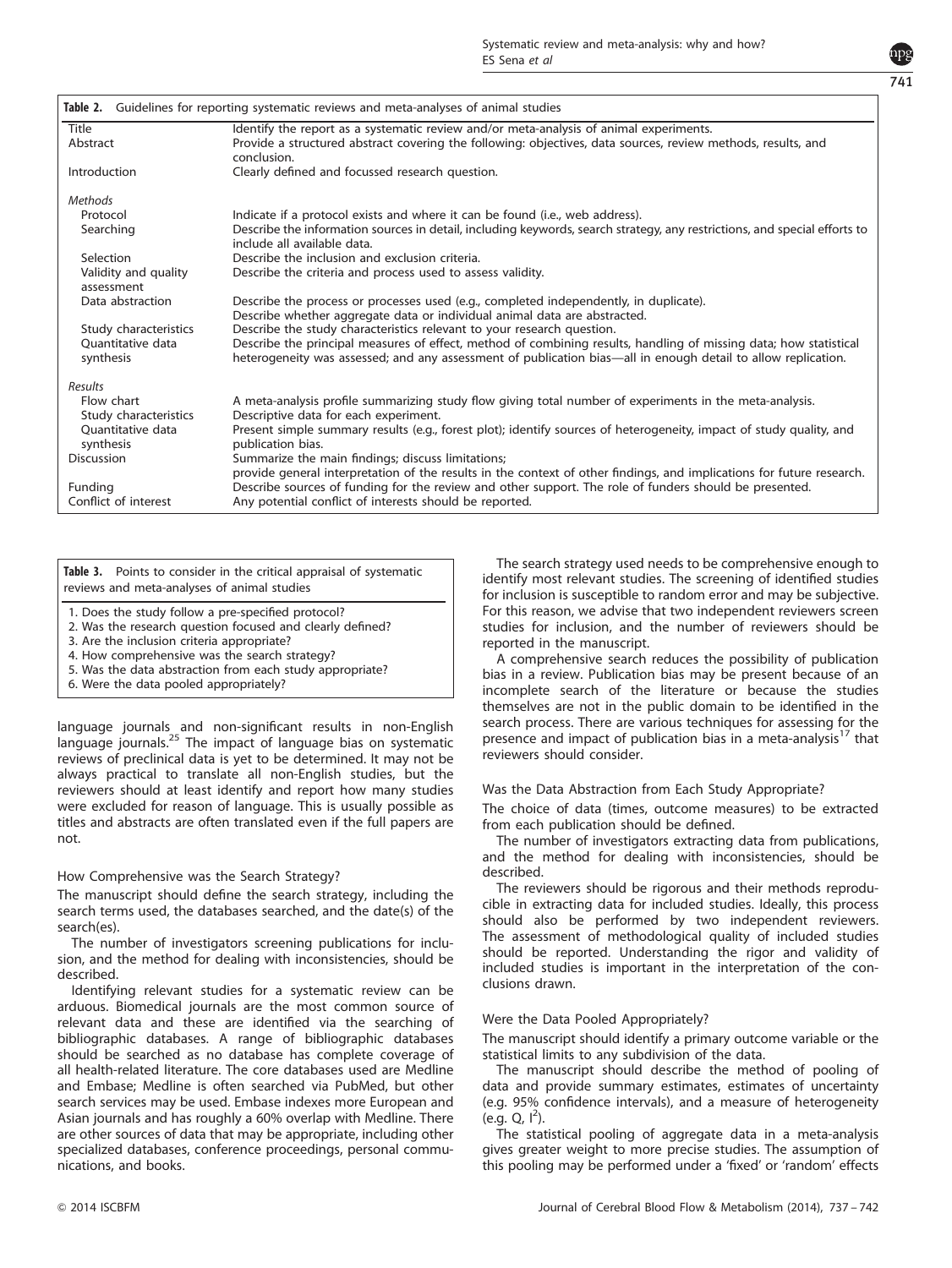

<span id="page-4-0"></span>

| Guidelines for reporting systematic reviews and meta-analyses of animal studies<br>Table 2. |                                                                                                                                                                            |  |  |  |
|---------------------------------------------------------------------------------------------|----------------------------------------------------------------------------------------------------------------------------------------------------------------------------|--|--|--|
| Title                                                                                       | Identify the report as a systematic review and/or meta-analysis of animal experiments.                                                                                     |  |  |  |
| Abstract                                                                                    | Provide a structured abstract covering the following: objectives, data sources, review methods, results, and                                                               |  |  |  |
|                                                                                             | conclusion.                                                                                                                                                                |  |  |  |
| Introduction                                                                                | Clearly defined and focussed research question.                                                                                                                            |  |  |  |
| Methods                                                                                     |                                                                                                                                                                            |  |  |  |
| Protocol                                                                                    | Indicate if a protocol exists and where it can be found (i.e., web address).                                                                                               |  |  |  |
| Searching                                                                                   | Describe the information sources in detail, including keywords, search strategy, any restrictions, and special efforts to<br>include all available data.                   |  |  |  |
| Selection                                                                                   | Describe the inclusion and exclusion criteria.                                                                                                                             |  |  |  |
| Validity and quality<br>assessment                                                          | Describe the criteria and process used to assess validity.                                                                                                                 |  |  |  |
| Data abstraction                                                                            | Describe the process or processes used (e.g., completed independently, in duplicate).<br>Describe whether aggregate data or individual animal data are abstracted.         |  |  |  |
| Study characteristics                                                                       | Describe the study characteristics relevant to your research question.                                                                                                     |  |  |  |
| Quantitative data                                                                           | Describe the principal measures of effect, method of combining results, handling of missing data; how statistical                                                          |  |  |  |
| synthesis                                                                                   | heterogeneity was assessed; and any assessment of publication bias—all in enough detail to allow replication.                                                              |  |  |  |
| Results                                                                                     |                                                                                                                                                                            |  |  |  |
| Flow chart                                                                                  | A meta-analysis profile summarizing study flow giving total number of experiments in the meta-analysis.                                                                    |  |  |  |
| Study characteristics                                                                       | Descriptive data for each experiment.                                                                                                                                      |  |  |  |
| Ouantitative data                                                                           | Present simple summary results (e.g., forest plot); identify sources of heterogeneity, impact of study quality, and                                                        |  |  |  |
| synthesis                                                                                   | publication bias.                                                                                                                                                          |  |  |  |
| <b>Discussion</b>                                                                           | Summarize the main findings; discuss limitations;<br>provide general interpretation of the results in the context of other findings, and implications for future research. |  |  |  |
| Funding                                                                                     | Describe sources of funding for the review and other support. The role of funders should be presented.                                                                     |  |  |  |
| Conflict of interest                                                                        | Any potential conflict of interests should be reported.                                                                                                                    |  |  |  |

Table 3. Points to consider in the critical appraisal of systematic reviews and meta-analyses of animal studies

- 1. Does the study follow a pre-specified protocol?
- 2. Was the research question focused and clearly defined?

3. Are the inclusion criteria appropriate?

4. How comprehensive was the search strategy?

- 5. Was the data abstraction from each study appropriate?
- 6. Were the data pooled appropriately?

language journals and non-significant results in non-English language journals.<sup>[25](#page-5-0)</sup> The impact of language bias on systematic reviews of preclinical data is yet to be determined. It may not be always practical to translate all non-English studies, but the reviewers should at least identify and report how many studies were excluded for reason of language. This is usually possible as titles and abstracts are often translated even if the full papers are not.

# How Comprehensive was the Search Strategy?

The manuscript should define the search strategy, including the search terms used, the databases searched, and the date(s) of the search(es).

The number of investigators screening publications for inclusion, and the method for dealing with inconsistencies, should be described.

Identifying relevant studies for a systematic review can be arduous. Biomedical journals are the most common source of relevant data and these are identified via the searching of bibliographic databases. A range of bibliographic databases should be searched as no database has complete coverage of all health-related literature. The core databases used are Medline and Embase; Medline is often searched via PubMed, but other search services may be used. Embase indexes more European and Asian journals and has roughly a 60% overlap with Medline. There are other sources of data that may be appropriate, including other specialized databases, conference proceedings, personal communications, and books.

The search strategy used needs to be comprehensive enough to identify most relevant studies. The screening of identified studies for inclusion is susceptible to random error and may be subjective. For this reason, we advise that two independent reviewers screen studies for inclusion, and the number of reviewers should be reported in the manuscript.

A comprehensive search reduces the possibility of publication bias in a review. Publication bias may be present because of an incomplete search of the literature or because the studies themselves are not in the public domain to be identified in the search process. There are various techniques for assessing for the presence and impact of publication bias in a meta-analysis<sup>[17](#page-5-0)</sup> that reviewers should consider.

## Was the Data Abstraction from Each Study Appropriate?

The choice of data (times, outcome measures) to be extracted from each publication should be defined.

The number of investigators extracting data from publications, and the method for dealing with inconsistencies, should be described.

The reviewers should be rigorous and their methods reproducible in extracting data for included studies. Ideally, this process should also be performed by two independent reviewers. The assessment of methodological quality of included studies should be reported. Understanding the rigor and validity of included studies is important in the interpretation of the conclusions drawn.

# Were the Data Pooled Appropriately?

The manuscript should identify a primary outcome variable or the statistical limits to any subdivision of the data.

The manuscript should describe the method of pooling of data and provide summary estimates, estimates of uncertainty (e.g. 95% confidence intervals), and a measure of heterogeneity  $(e.g. Q, I^2)$ .

The statistical pooling of aggregate data in a meta-analysis gives greater weight to more precise studies. The assumption of this pooling may be performed under a 'fixed' or 'random' effects